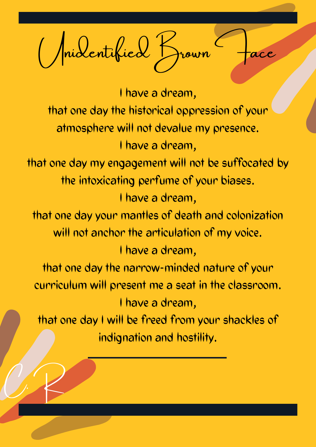(Maidentified Brown

I have a dream, that one day the historical oppression of your atmosphere will not devalue my presence. I have a dream, that one day my engagement will not be suffocated by the intoxicating perfume of your biases. I have a dream, that one day your mantles of death and colonization will not anchor the articulation of my voice.

## I have a dream, that one day the narrow-minded nature of your curriculum will present me a seat in the classroom. I have a dream, that one day I will be freed from your shackles of indignation and hostility.

C.R.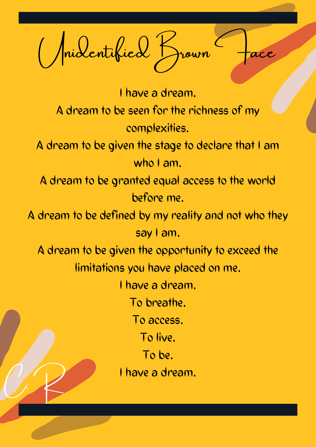Michel Brown

I have a dream. A dream to be seen for the richness of my complexities. A dream to be given the stage to declare that I am who I am. A dream to be granted equal access to the world before me. A dream to be defined by my reality and not who they say I am. A dream to be given the opportunity to exceed the limitations you have placed on me. I have a dream. To breathe. To access. To live. To be. I have a dream. C.R.